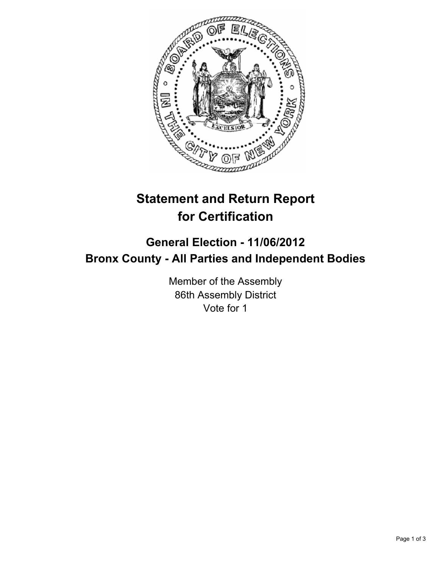

# **Statement and Return Report for Certification**

## **General Election - 11/06/2012 Bronx County - All Parties and Independent Bodies**

Member of the Assembly 86th Assembly District Vote for 1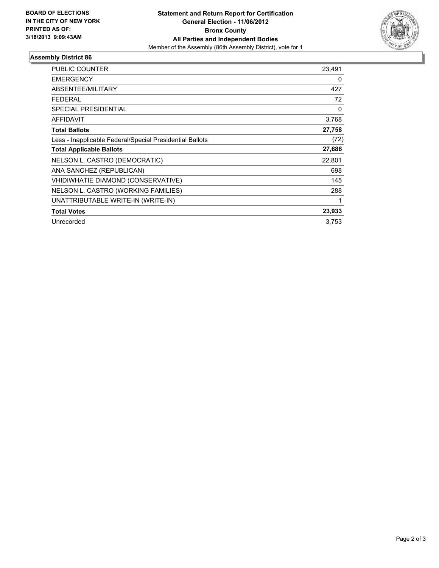

### **Assembly District 86**

| <b>PUBLIC COUNTER</b>                                    | 23,491 |
|----------------------------------------------------------|--------|
| <b>EMERGENCY</b>                                         | 0      |
| ABSENTEE/MILITARY                                        | 427    |
| <b>FEDERAL</b>                                           | 72     |
| <b>SPECIAL PRESIDENTIAL</b>                              | 0      |
| <b>AFFIDAVIT</b>                                         | 3,768  |
| <b>Total Ballots</b>                                     | 27,758 |
| Less - Inapplicable Federal/Special Presidential Ballots | (72)   |
| <b>Total Applicable Ballots</b>                          | 27,686 |
| NELSON L. CASTRO (DEMOCRATIC)                            | 22,801 |
| ANA SANCHEZ (REPUBLICAN)                                 | 698    |
| VHIDIWHATIE DIAMOND (CONSERVATIVE)                       | 145    |
| NELSON L. CASTRO (WORKING FAMILIES)                      | 288    |
| UNATTRIBUTABLE WRITE-IN (WRITE-IN)                       |        |
| <b>Total Votes</b>                                       | 23,933 |
| Unrecorded                                               | 3,753  |